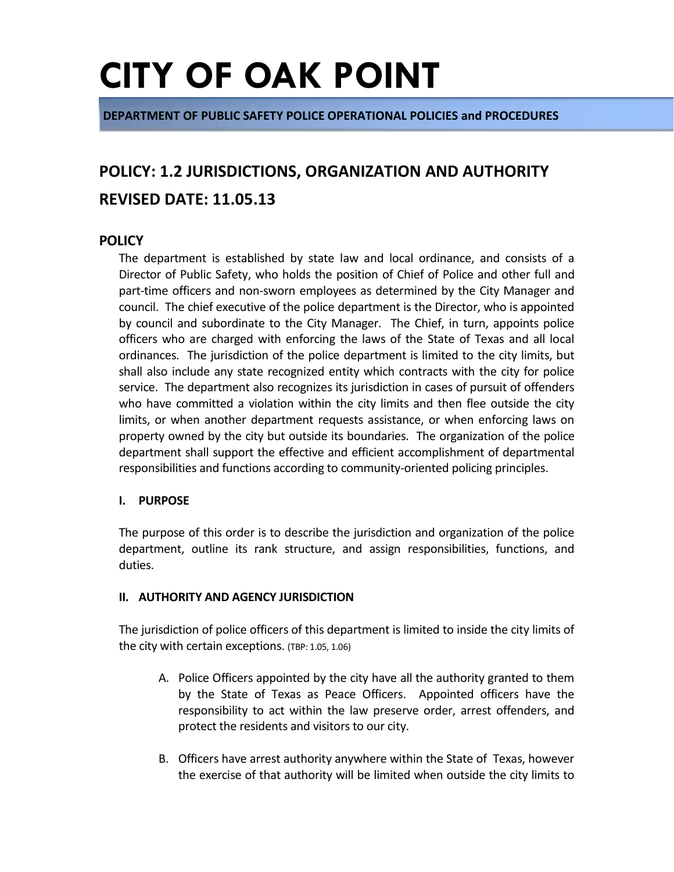**DEPARTMENT OF PUBLIC SAFETY POLICE OPERATIONAL POLICIES and PROCEDURES**

### **POLICY: 1.2 JURISDICTIONS, ORGANIZATION AND AUTHORITY REVISED DATE: 11.05.13**

### **POLICY**

The department is established by state law and local ordinance, and consists of a Director of Public Safety, who holds the position of Chief of Police and other full and part-time officers and non-sworn employees as determined by the City Manager and council. The chief executive of the police department is the Director, who is appointed by council and subordinate to the City Manager. The Chief, in turn, appoints police officers who are charged with enforcing the laws of the State of Texas and all local ordinances. The jurisdiction of the police department is limited to the city limits, but shall also include any state recognized entity which contracts with the city for police service. The department also recognizes its jurisdiction in cases of pursuit of offenders who have committed a violation within the city limits and then flee outside the city limits, or when another department requests assistance, or when enforcing laws on property owned by the city but outside its boundaries. The organization of the police department shall support the effective and efficient accomplishment of departmental responsibilities and functions according to community-oriented policing principles.

#### **I. PURPOSE**

The purpose of this order is to describe the jurisdiction and organization of the police department, outline its rank structure, and assign responsibilities, functions, and duties.

#### **II. AUTHORITY AND AGENCY JURISDICTION**

The jurisdiction of police officers of this department is limited to inside the city limits of the city with certain exceptions. (TBP: 1.05, 1.06)

- A. Police Officers appointed by the city have all the authority granted to them by the State of Texas as Peace Officers. Appointed officers have the responsibility to act within the law preserve order, arrest offenders, and protect the residents and visitors to our city.
- B. Officers have arrest authority anywhere within the State of Texas, however the exercise of that authority will be limited when outside the city limits to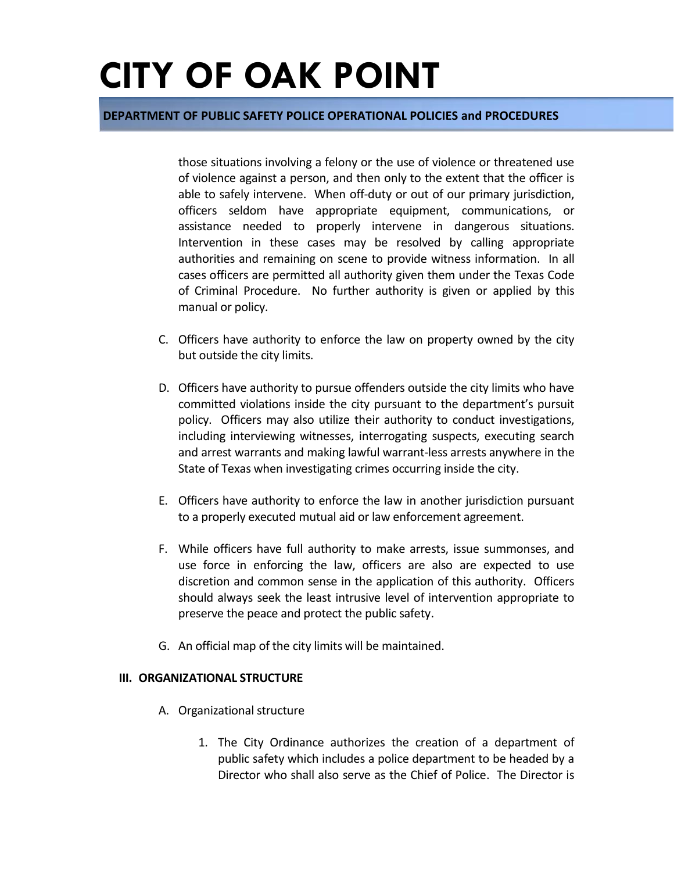#### **DEPARTMENT OF PUBLIC SAFETY POLICE OPERATIONAL POLICIES and PROCEDURES**

those situations involving a felony or the use of violence or threatened use of violence against a person, and then only to the extent that the officer is able to safely intervene. When off-duty or out of our primary jurisdiction, officers seldom have appropriate equipment, communications, or assistance needed to properly intervene in dangerous situations. Intervention in these cases may be resolved by calling appropriate authorities and remaining on scene to provide witness information. In all cases officers are permitted all authority given them under the Texas Code of Criminal Procedure. No further authority is given or applied by this manual or policy.

- C. Officers have authority to enforce the law on property owned by the city but outside the city limits.
- D. Officers have authority to pursue offenders outside the city limits who have committed violations inside the city pursuant to the department's pursuit policy. Officers may also utilize their authority to conduct investigations, including interviewing witnesses, interrogating suspects, executing search and arrest warrants and making lawful warrant-less arrests anywhere in the State of Texas when investigating crimes occurring inside the city.
- E. Officers have authority to enforce the law in another jurisdiction pursuant to a properly executed mutual aid or law enforcement agreement.
- F. While officers have full authority to make arrests, issue summonses, and use force in enforcing the law, officers are also are expected to use discretion and common sense in the application of this authority. Officers should always seek the least intrusive level of intervention appropriate to preserve the peace and protect the public safety.
- G. An official map of the city limits will be maintained.

#### **III. ORGANIZATIONAL STRUCTURE**

- A. Organizational structure
	- 1. The City Ordinance authorizes the creation of a department of public safety which includes a police department to be headed by a Director who shall also serve as the Chief of Police. The Director is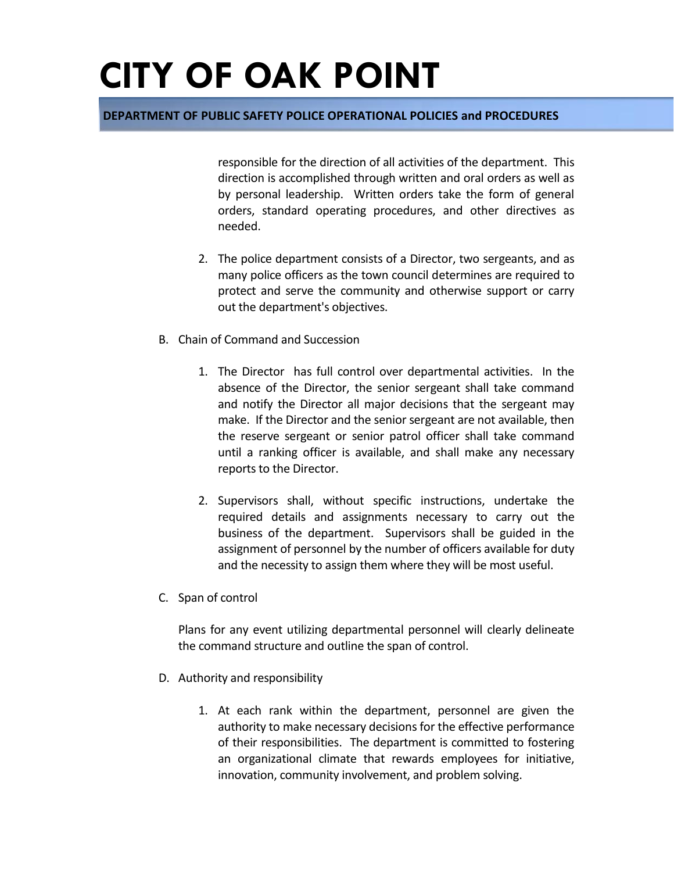### **DEPARTMENT OF PUBLIC SAFETY POLICE OPERATIONAL POLICIES and PROCEDURES**

responsible for the direction of all activities of the department. This direction is accomplished through written and oral orders as well as by personal leadership. Written orders take the form of general orders, standard operating procedures, and other directives as needed.

- 2. The police department consists of a Director, two sergeants, and as many police officers as the town council determines are required to protect and serve the community and otherwise support or carry out the department's objectives.
- B. Chain of Command and Succession
	- 1. The Director has full control over departmental activities. In the absence of the Director, the senior sergeant shall take command and notify the Director all major decisions that the sergeant may make. If the Director and the senior sergeant are not available, then the reserve sergeant or senior patrol officer shall take command until a ranking officer is available, and shall make any necessary reports to the Director.
	- 2. Supervisors shall, without specific instructions, undertake the required details and assignments necessary to carry out the business of the department. Supervisors shall be guided in the assignment of personnel by the number of officers available for duty and the necessity to assign them where they will be most useful.
- C. Span of control

Plans for any event utilizing departmental personnel will clearly delineate the command structure and outline the span of control.

- D. Authority and responsibility
	- 1. At each rank within the department, personnel are given the authority to make necessary decisions for the effective performance of their responsibilities. The department is committed to fostering an organizational climate that rewards employees for initiative, innovation, community involvement, and problem solving.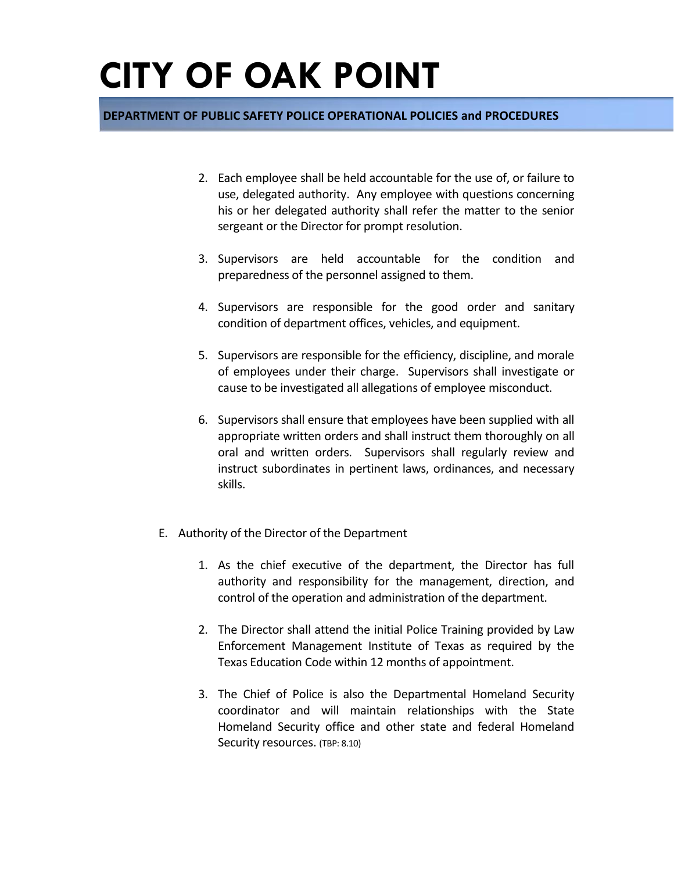### **DEPARTMENT OF PUBLIC SAFETY POLICE OPERATIONAL POLICIES and PROCEDURES**

- 2. Each employee shall be held accountable for the use of, or failure to use, delegated authority. Any employee with questions concerning his or her delegated authority shall refer the matter to the senior sergeant or the Director for prompt resolution.
- 3. Supervisors are held accountable for the condition and preparedness of the personnel assigned to them.
- 4. Supervisors are responsible for the good order and sanitary condition of department offices, vehicles, and equipment.
- 5. Supervisors are responsible for the efficiency, discipline, and morale of employees under their charge. Supervisors shall investigate or cause to be investigated all allegations of employee misconduct.
- 6. Supervisors shall ensure that employees have been supplied with all appropriate written orders and shall instruct them thoroughly on all oral and written orders. Supervisors shall regularly review and instruct subordinates in pertinent laws, ordinances, and necessary skills.
- E. Authority of the Director of the Department
	- 1. As the chief executive of the department, the Director has full authority and responsibility for the management, direction, and control of the operation and administration of the department.
	- 2. The Director shall attend the initial Police Training provided by Law Enforcement Management Institute of Texas as required by the Texas Education Code within 12 months of appointment.
	- 3. The Chief of Police is also the Departmental Homeland Security coordinator and will maintain relationships with the State Homeland Security office and other state and federal Homeland Security resources. (TBP: 8.10)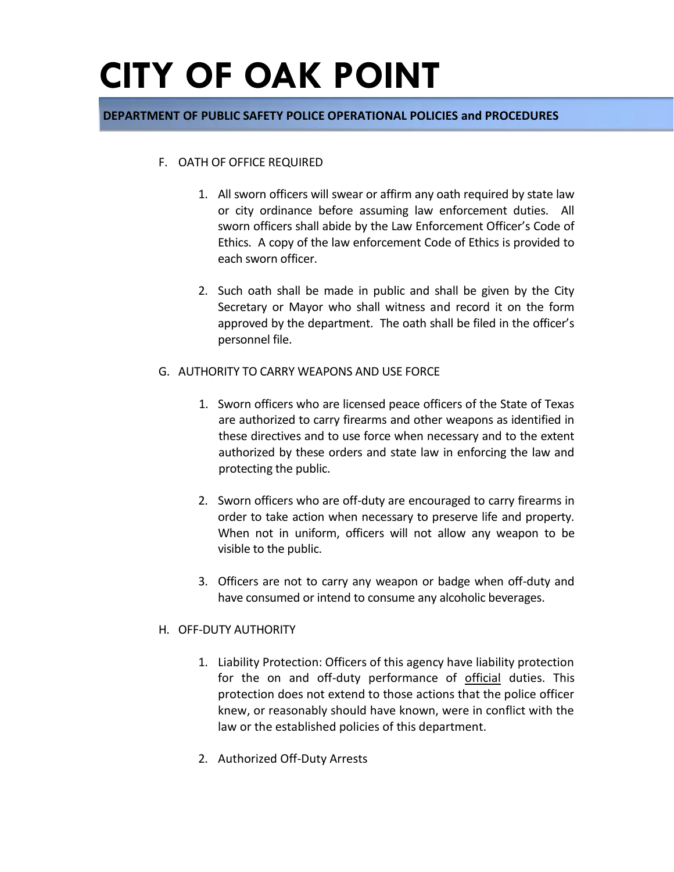### **DEPARTMENT OF PUBLIC SAFETY POLICE OPERATIONAL POLICIES and PROCEDURES**

#### F. OATH OF OFFICE REQUIRED

- 1. All sworn officers will swear or affirm any oath required by state law or city ordinance before assuming law enforcement duties. All sworn officers shall abide by the Law Enforcement Officer's Code of Ethics. A copy of the law enforcement Code of Ethics is provided to each sworn officer.
- 2. Such oath shall be made in public and shall be given by the City Secretary or Mayor who shall witness and record it on the form approved by the department. The oath shall be filed in the officer's personnel file.
- G. AUTHORITY TO CARRY WEAPONS AND USE FORCE
	- 1. Sworn officers who are licensed peace officers of the State of Texas are authorized to carry firearms and other weapons as identified in these directives and to use force when necessary and to the extent authorized by these orders and state law in enforcing the law and protecting the public.
	- 2. Sworn officers who are off-duty are encouraged to carry firearms in order to take action when necessary to preserve life and property. When not in uniform, officers will not allow any weapon to be visible to the public.
	- 3. Officers are not to carry any weapon or badge when off-duty and have consumed or intend to consume any alcoholic beverages.

#### H. OFF-DUTY AUTHORITY

- 1. Liability Protection: Officers of this agency have liability protection for the on and off-duty performance of official duties. This protection does not extend to those actions that the police officer knew, or reasonably should have known, were in conflict with the law or the established policies of this department.
- 2. Authorized Off-Duty Arrests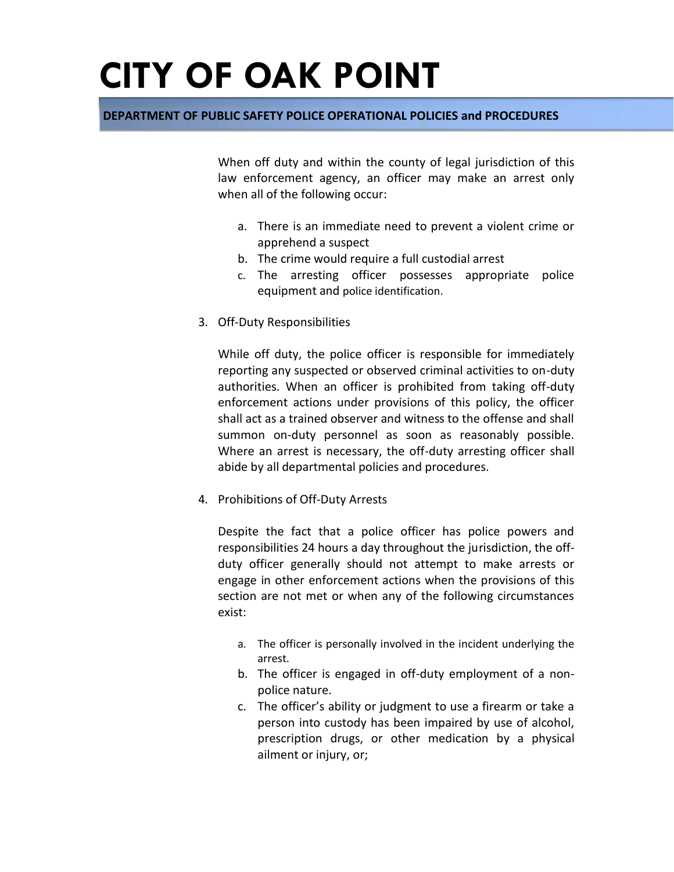### **DEPARTMENT OF PUBLIC SAFETY POLICE OPERATIONAL POLICIES and PROCEDURES**

When off duty and within the county of legal jurisdiction of this law enforcement agency, an officer may make an arrest only when all of the following occur:

- a. There is an immediate need to prevent a violent crime or apprehend a suspect
- b. The crime would require a full custodial arrest
- c. The arresting officer possesses appropriate police equipment and police identification.
- 3. Off-Duty Responsibilities

While off duty, the police officer is responsible for immediately reporting any suspected or observed criminal activities to on-duty authorities. When an officer is prohibited from taking off-duty enforcement actions under provisions of this policy, the officer shall act as a trained observer and witness to the offense and shall summon on-duty personnel as soon as reasonably possible. Where an arrest is necessary, the off-duty arresting officer shall abide by all departmental policies and procedures.

4. Prohibitions of Off-Duty Arrests

Despite the fact that a police officer has police powers and responsibilities 24 hours a day throughout the jurisdiction, the offduty officer generally should not attempt to make arrests or engage in other enforcement actions when the provisions of this section are not met or when any of the following circumstances exist:

- a. The officer is personally involved in the incident underlying the arrest.
- b. The officer is engaged in off-duty employment of a nonpolice nature.
- c. The officer's ability or judgment to use a firearm or take a person into custody has been impaired by use of alcohol, prescription drugs, or other medication by a physical ailment or injury, or;